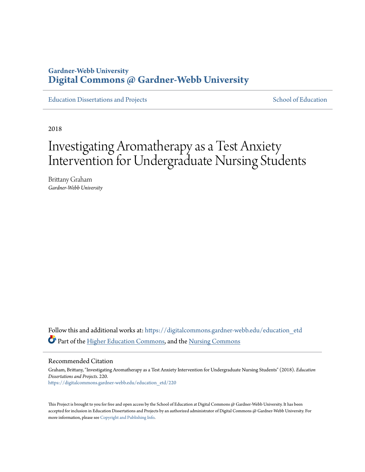## **Gardner-Webb University [Digital Commons @ Gardner-Webb University](https://digitalcommons.gardner-webb.edu?utm_source=digitalcommons.gardner-webb.edu%2Feducation_etd%2F220&utm_medium=PDF&utm_campaign=PDFCoverPages)**

[Education Dissertations and Projects](https://digitalcommons.gardner-webb.edu/education_etd?utm_source=digitalcommons.gardner-webb.edu%2Feducation_etd%2F220&utm_medium=PDF&utm_campaign=PDFCoverPages) [School of Education](https://digitalcommons.gardner-webb.edu/education?utm_source=digitalcommons.gardner-webb.edu%2Feducation_etd%2F220&utm_medium=PDF&utm_campaign=PDFCoverPages)

2018

# Investigating Aromatherapy as a Test Anxiety Intervention for Undergraduate Nursing Students

Brittany Graham *Gardner-Webb University*

Follow this and additional works at: [https://digitalcommons.gardner-webb.edu/education\\_etd](https://digitalcommons.gardner-webb.edu/education_etd?utm_source=digitalcommons.gardner-webb.edu%2Feducation_etd%2F220&utm_medium=PDF&utm_campaign=PDFCoverPages) Part of the [Higher Education Commons](http://network.bepress.com/hgg/discipline/1245?utm_source=digitalcommons.gardner-webb.edu%2Feducation_etd%2F220&utm_medium=PDF&utm_campaign=PDFCoverPages), and the [Nursing Commons](http://network.bepress.com/hgg/discipline/718?utm_source=digitalcommons.gardner-webb.edu%2Feducation_etd%2F220&utm_medium=PDF&utm_campaign=PDFCoverPages)

Recommended Citation

Graham, Brittany, "Investigating Aromatherapy as a Test Anxiety Intervention for Undergraduate Nursing Students" (2018). *Education Dissertations and Projects*. 220. [https://digitalcommons.gardner-webb.edu/education\\_etd/220](https://digitalcommons.gardner-webb.edu/education_etd/220?utm_source=digitalcommons.gardner-webb.edu%2Feducation_etd%2F220&utm_medium=PDF&utm_campaign=PDFCoverPages)

This Project is brought to you for free and open access by the School of Education at Digital Commons @ Gardner-Webb University. It has been accepted for inclusion in Education Dissertations and Projects by an authorized administrator of Digital Commons @ Gardner-Webb University. For more information, please see [Copyright and Publishing Info](https://digitalcommons.gardner-webb.edu/copyright_publishing.html).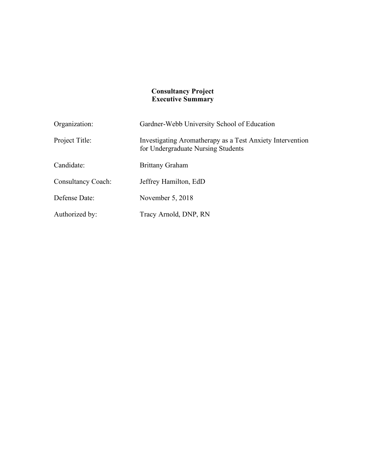#### **Consultancy Project Executive Summary**

| Organization:             | Gardner-Webb University School of Education                                                     |
|---------------------------|-------------------------------------------------------------------------------------------------|
| Project Title:            | Investigating Aromatherapy as a Test Anxiety Intervention<br>for Undergraduate Nursing Students |
| Candidate:                | <b>Brittany Graham</b>                                                                          |
| <b>Consultancy Coach:</b> | Jeffrey Hamilton, EdD                                                                           |
| Defense Date:             | November $5, 2018$                                                                              |
| Authorized by:            | Tracy Arnold, DNP, RN                                                                           |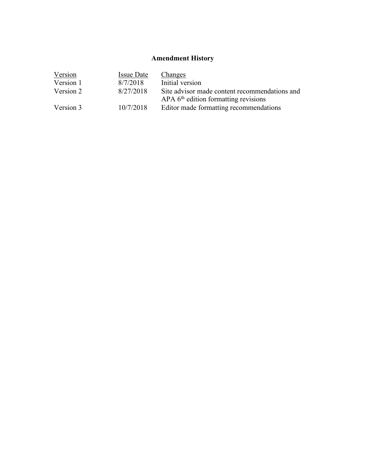## **Amendment History**

| Version   | <b>Issue Date</b> | <b>Changes</b>                                                                                      |
|-----------|-------------------|-----------------------------------------------------------------------------------------------------|
| Version 1 | 8/7/2018          | Initial version                                                                                     |
| Version 2 | 8/27/2018         | Site advisor made content recommendations and<br>$APA$ 6 <sup>th</sup> edition formatting revisions |
|           |                   |                                                                                                     |
| Version 3 | 10/7/2018         | Editor made formatting recommendations                                                              |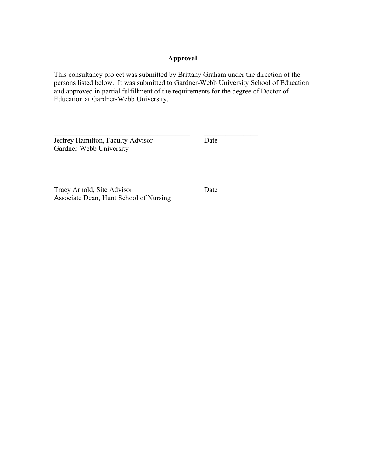## **Approval**

This consultancy project was submitted by Brittany Graham under the direction of the persons listed below. It was submitted to Gardner-Webb University School of Education and approved in partial fulfillment of the requirements for the degree of Doctor of Education at Gardner-Webb University.

 $\mathcal{L}_\text{max}$  , and the contract of the contract of the contract of the contract of the contract of the contract of

 $\mathcal{L}_\text{max}$  and the contract of the contract of the contract of the contract of the contract of the contract of the contract of the contract of the contract of the contract of the contract of the contract of the contrac

Jeffrey Hamilton, Faculty Advisor Date Gardner-Webb University

Tracy Arnold, Site Advisor Date Associate Dean, Hunt School of Nursing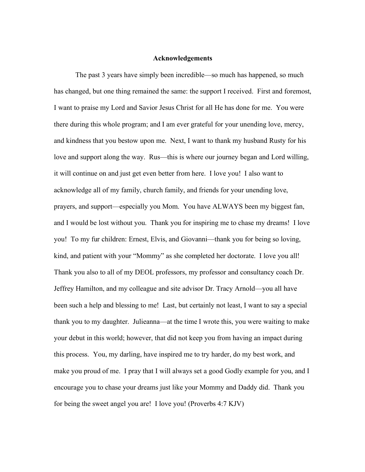#### **Acknowledgements**

The past 3 years have simply been incredible—so much has happened, so much has changed, but one thing remained the same: the support I received. First and foremost, I want to praise my Lord and Savior Jesus Christ for all He has done for me. You were there during this whole program; and I am ever grateful for your unending love, mercy, and kindness that you bestow upon me. Next, I want to thank my husband Rusty for his love and support along the way. Rus—this is where our journey began and Lord willing, it will continue on and just get even better from here. I love you! I also want to acknowledge all of my family, church family, and friends for your unending love, prayers, and support—especially you Mom. You have ALWAYS been my biggest fan, and I would be lost without you. Thank you for inspiring me to chase my dreams! I love you! To my fur children: Ernest, Elvis, and Giovanni—thank you for being so loving, kind, and patient with your "Mommy" as she completed her doctorate. I love you all! Thank you also to all of my DEOL professors, my professor and consultancy coach Dr. Jeffrey Hamilton, and my colleague and site advisor Dr. Tracy Arnold—you all have been such a help and blessing to me! Last, but certainly not least, I want to say a special thank you to my daughter. Julieanna—at the time I wrote this, you were waiting to make your debut in this world; however, that did not keep you from having an impact during this process. You, my darling, have inspired me to try harder, do my best work, and make you proud of me. I pray that I will always set a good Godly example for you, and I encourage you to chase your dreams just like your Mommy and Daddy did. Thank you for being the sweet angel you are! I love you! (Proverbs 4:7 KJV)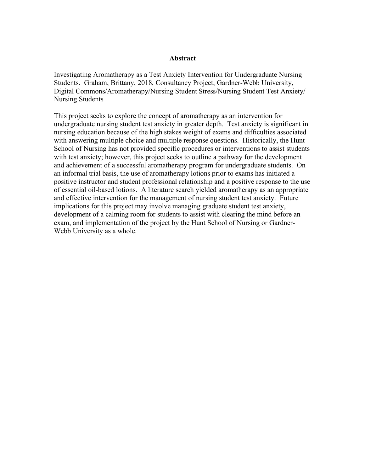#### **Abstract**

Investigating Aromatherapy as a Test Anxiety Intervention for Undergraduate Nursing Students. Graham, Brittany, 2018, Consultancy Project, Gardner-Webb University, Digital Commons/Aromatherapy/Nursing Student Stress/Nursing Student Test Anxiety/ Nursing Students

This project seeks to explore the concept of aromatherapy as an intervention for undergraduate nursing student test anxiety in greater depth. Test anxiety is significant in nursing education because of the high stakes weight of exams and difficulties associated with answering multiple choice and multiple response questions. Historically, the Hunt School of Nursing has not provided specific procedures or interventions to assist students with test anxiety; however, this project seeks to outline a pathway for the development and achievement of a successful aromatherapy program for undergraduate students. On an informal trial basis, the use of aromatherapy lotions prior to exams has initiated a positive instructor and student professional relationship and a positive response to the use of essential oil-based lotions. A literature search yielded aromatherapy as an appropriate and effective intervention for the management of nursing student test anxiety. Future implications for this project may involve managing graduate student test anxiety, development of a calming room for students to assist with clearing the mind before an exam, and implementation of the project by the Hunt School of Nursing or Gardner-Webb University as a whole.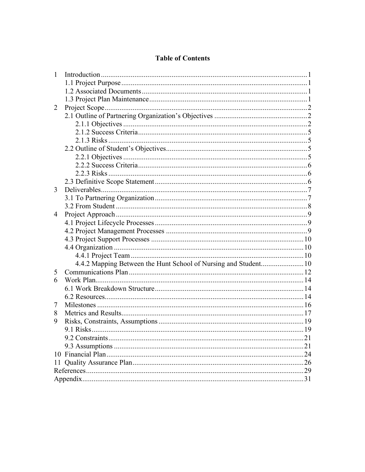## **Table of Contents**

| $\mathbf{1}$ |      |
|--------------|------|
|              |      |
|              |      |
|              |      |
| 2            |      |
|              |      |
|              |      |
|              |      |
|              |      |
|              |      |
|              |      |
|              |      |
|              |      |
|              |      |
| 3            |      |
|              |      |
|              |      |
| 4            |      |
|              |      |
|              |      |
|              |      |
|              |      |
|              |      |
|              |      |
| 5            |      |
| 6            |      |
|              |      |
|              |      |
| 7            |      |
| 8            |      |
| 9            |      |
|              |      |
|              | .21  |
|              | .21  |
|              | . 24 |
| 11           | 26   |
|              | 29   |
|              | 31   |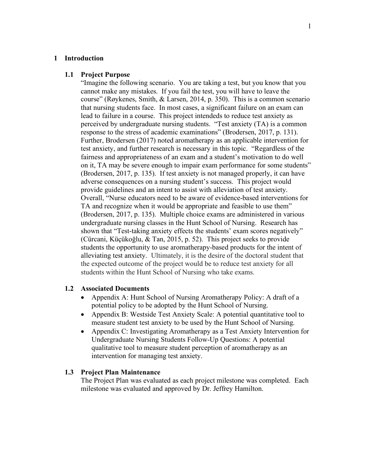#### **1 Introduction**

#### **1.1 Project Purpose**

"Imagine the following scenario. You are taking a test, but you know that you cannot make any mistakes. If you fail the test, you will have to leave the course" (Røykenes, Smith, & Larsen, 2014, p. 350). This is a common scenario that nursing students face. In most cases, a significant failure on an exam can lead to failure in a course. This project intendeds to reduce test anxiety as perceived by undergraduate nursing students. "Test anxiety (TA) is a common response to the stress of academic examinations" (Brodersen, 2017, p. 131). Further, Brodersen (2017) noted aromatherapy as an applicable intervention for test anxiety, and further research is necessary in this topic. "Regardless of the fairness and appropriateness of an exam and a student's motivation to do well on it, TA may be severe enough to impair exam performance for some students" (Brodersen, 2017, p. 135). If test anxiety is not managed properly, it can have adverse consequences on a nursing student's success. This project would provide guidelines and an intent to assist with alleviation of test anxiety. Overall, "Nurse educators need to be aware of evidence-based interventions for TA and recognize when it would be appropriate and feasible to use them" (Brodersen, 2017, p. 135). Multiple choice exams are administered in various undergraduate nursing classes in the Hunt School of Nursing. Research has shown that "Test-taking anxiety effects the students' exam scores negatively" (Cürcani, Küçükoğlu, & Tan, 2015, p. 52). This project seeks to provide students the opportunity to use aromatherapy-based products for the intent of alleviating test anxiety. Ultimately, it is the desire of the doctoral student that the expected outcome of the project would be to reduce test anxiety for all students within the Hunt School of Nursing who take exams.

#### **1.2 Associated Documents**

- Appendix A: Hunt School of Nursing Aromatherapy Policy: A draft of a potential policy to be adopted by the Hunt School of Nursing.
- Appendix B: Westside Test Anxiety Scale: A potential quantitative tool to measure student test anxiety to be used by the Hunt School of Nursing.
- Appendix C: Investigating Aromatherapy as a Test Anxiety Intervention for Undergraduate Nursing Students Follow-Up Questions: A potential qualitative tool to measure student perception of aromatherapy as an intervention for managing test anxiety.

#### **1.3 Project Plan Maintenance**

The Project Plan was evaluated as each project milestone was completed. Each milestone was evaluated and approved by Dr. Jeffrey Hamilton.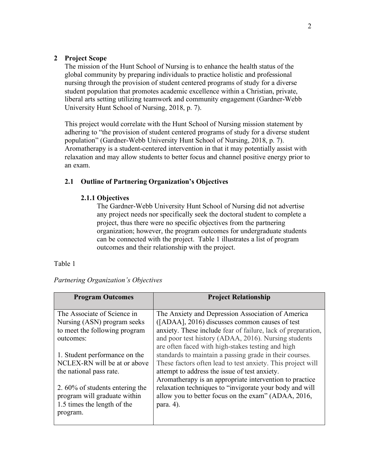### **2 Project Scope**

The mission of the Hunt School of Nursing is to enhance the health status of the global community by preparing individuals to practice holistic and professional nursing through the provision of student centered programs of study for a diverse student population that promotes academic excellence within a Christian, private, liberal arts setting utilizing teamwork and community engagement (Gardner-Webb University Hunt School of Nursing, 2018, p. 7).

This project would correlate with the Hunt School of Nursing mission statement by adhering to "the provision of student centered programs of study for a diverse student population" (Gardner-Webb University Hunt School of Nursing, 2018, p. 7). Aromatherapy is a student-centered intervention in that it may potentially assist with relaxation and may allow students to better focus and channel positive energy prior to an exam.

## **2.1 Outline of Partnering Organization's Objectives**

#### **2.1.1 Objectives**

The Gardner-Webb University Hunt School of Nursing did not advertise any project needs nor specifically seek the doctoral student to complete a project, thus there were no specific objectives from the partnering organization; however, the program outcomes for undergraduate students can be connected with the project. Table 1 illustrates a list of program outcomes and their relationship with the project.

#### Table 1

| <b>Program Outcomes</b>            | <b>Project Relationship</b>                                  |
|------------------------------------|--------------------------------------------------------------|
| The Associate of Science in        | The Anxiety and Depression Association of America            |
| Nursing (ASN) program seeks        | ([ADAA], 2016) discusses common causes of test               |
| to meet the following program      | anxiety. These include fear of failure, lack of preparation, |
| outcomes:                          | and poor test history (ADAA, 2016). Nursing students         |
|                                    | are often faced with high-stakes testing and high            |
| 1. Student performance on the      | standards to maintain a passing grade in their courses.      |
| NCLEX-RN will be at or above       | These factors often lead to test anxiety. This project will  |
| the national pass rate.            | attempt to address the issue of test anxiety.                |
|                                    | Aromatherapy is an appropriate intervention to practice      |
| 2. $60\%$ of students entering the | relaxation techniques to "invigorate your body and will      |
| program will graduate within       | allow you to better focus on the exam" (ADAA, 2016,          |
| 1.5 times the length of the        | para. $4$ ).                                                 |
| program.                           |                                                              |
|                                    |                                                              |

#### *Partnering Organization's Objectives*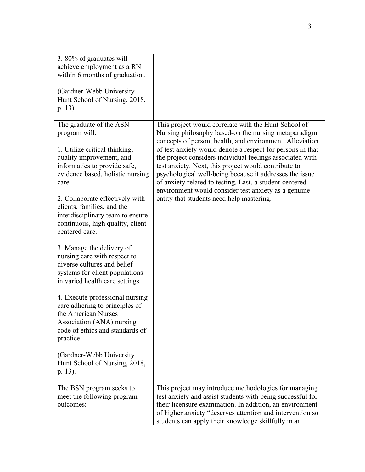| 3.80% of graduates will                                       |                                                                                                                  |
|---------------------------------------------------------------|------------------------------------------------------------------------------------------------------------------|
| achieve employment as a RN<br>within 6 months of graduation.  |                                                                                                                  |
|                                                               |                                                                                                                  |
| (Gardner-Webb University)                                     |                                                                                                                  |
| Hunt School of Nursing, 2018,                                 |                                                                                                                  |
| p. 13).                                                       |                                                                                                                  |
|                                                               |                                                                                                                  |
| The graduate of the ASN                                       | This project would correlate with the Hunt School of                                                             |
| program will:                                                 | Nursing philosophy based-on the nursing metaparadigm<br>concepts of person, health, and environment. Alleviation |
| 1. Utilize critical thinking,                                 | of test anxiety would denote a respect for persons in that                                                       |
| quality improvement, and                                      | the project considers individual feelings associated with                                                        |
| informatics to provide safe,                                  | test anxiety. Next, this project would contribute to                                                             |
| evidence based, holistic nursing                              | psychological well-being because it addresses the issue                                                          |
| care.                                                         | of anxiety related to testing. Last, a student-centered                                                          |
|                                                               | environment would consider test anxiety as a genuine                                                             |
| 2. Collaborate effectively with<br>clients, families, and the | entity that students need help mastering.                                                                        |
| interdisciplinary team to ensure                              |                                                                                                                  |
| continuous, high quality, client-                             |                                                                                                                  |
| centered care.                                                |                                                                                                                  |
|                                                               |                                                                                                                  |
| 3. Manage the delivery of                                     |                                                                                                                  |
| nursing care with respect to<br>diverse cultures and belief   |                                                                                                                  |
| systems for client populations                                |                                                                                                                  |
| in varied health care settings.                               |                                                                                                                  |
|                                                               |                                                                                                                  |
| 4. Execute professional nursing                               |                                                                                                                  |
| care adhering to principles of                                |                                                                                                                  |
| the American Nurses                                           |                                                                                                                  |
| Association (ANA) nursing<br>code of ethics and standards of  |                                                                                                                  |
| practice.                                                     |                                                                                                                  |
|                                                               |                                                                                                                  |
| (Gardner-Webb University)                                     |                                                                                                                  |
| Hunt School of Nursing, 2018,                                 |                                                                                                                  |
| p. 13).                                                       |                                                                                                                  |
| The BSN program seeks to                                      | This project may introduce methodologies for managing                                                            |
| meet the following program                                    | test anxiety and assist students with being successful for                                                       |
| outcomes:                                                     | their licensure examination. In addition, an environment                                                         |
|                                                               | of higher anxiety "deserves attention and intervention so                                                        |
|                                                               | students can apply their knowledge skillfully in an                                                              |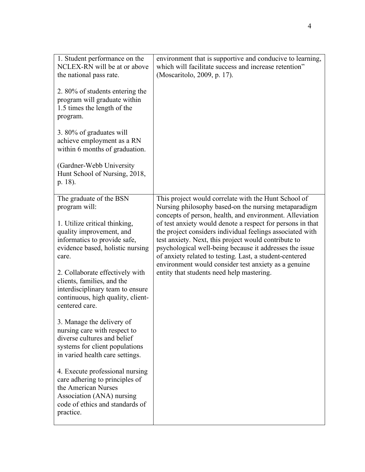| 1. Student performance on the<br>NCLEX-RN will be at or above<br>the national pass rate.                                                                              | environment that is supportive and conducive to learning,<br>which will facilitate success and increase retention"<br>(Moscaritolo, 2009, p. 17).                                                                                                                                                                                                             |
|-----------------------------------------------------------------------------------------------------------------------------------------------------------------------|---------------------------------------------------------------------------------------------------------------------------------------------------------------------------------------------------------------------------------------------------------------------------------------------------------------------------------------------------------------|
| 2. 80% of students entering the<br>program will graduate within<br>1.5 times the length of the<br>program.                                                            |                                                                                                                                                                                                                                                                                                                                                               |
| 3.80% of graduates will<br>achieve employment as a RN<br>within 6 months of graduation.                                                                               |                                                                                                                                                                                                                                                                                                                                                               |
| (Gardner-Webb University)<br>Hunt School of Nursing, 2018,<br>p. 18).                                                                                                 |                                                                                                                                                                                                                                                                                                                                                               |
| The graduate of the BSN<br>program will:                                                                                                                              | This project would correlate with the Hunt School of<br>Nursing philosophy based-on the nursing metaparadigm<br>concepts of person, health, and environment. Alleviation                                                                                                                                                                                      |
| 1. Utilize critical thinking,<br>quality improvement, and<br>informatics to provide safe,<br>evidence based, holistic nursing<br>care.                                | of test anxiety would denote a respect for persons in that<br>the project considers individual feelings associated with<br>test anxiety. Next, this project would contribute to<br>psychological well-being because it addresses the issue<br>of anxiety related to testing. Last, a student-centered<br>environment would consider test anxiety as a genuine |
| 2. Collaborate effectively with<br>clients, families, and the<br>interdisciplinary team to ensure<br>continuous, high quality, client-<br>centered care.              | entity that students need help mastering.                                                                                                                                                                                                                                                                                                                     |
| 3. Manage the delivery of<br>nursing care with respect to<br>diverse cultures and belief<br>systems for client populations<br>in varied health care settings.         |                                                                                                                                                                                                                                                                                                                                                               |
| 4. Execute professional nursing<br>care adhering to principles of<br>the American Nurses<br>Association (ANA) nursing<br>code of ethics and standards of<br>practice. |                                                                                                                                                                                                                                                                                                                                                               |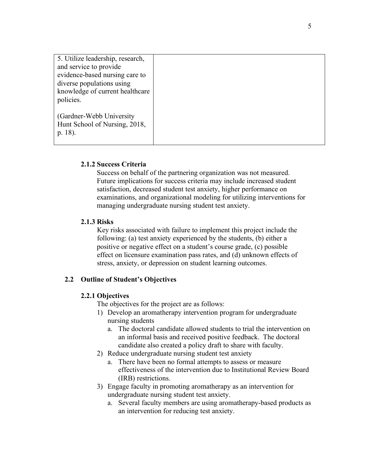| 5. Utilize leadership, research, |  |
|----------------------------------|--|
| and service to provide           |  |
| evidence-based nursing care to   |  |
| diverse populations using        |  |
|                                  |  |
| knowledge of current healthcare  |  |
| policies.                        |  |
|                                  |  |
|                                  |  |
| (Gardner-Webb University)        |  |
|                                  |  |
| Hunt School of Nursing, 2018,    |  |
|                                  |  |
| p. 18).                          |  |
|                                  |  |
|                                  |  |

#### **2.1.2 Success Criteria**

Success on behalf of the partnering organization was not measured. Future implications for success criteria may include increased student satisfaction, decreased student test anxiety, higher performance on examinations, and organizational modeling for utilizing interventions for managing undergraduate nursing student test anxiety.

#### **2.1.3 Risks**

 Key risks associated with failure to implement this project include the following: (a) test anxiety experienced by the students, (b) either a positive or negative effect on a student's course grade, (c) possible effect on licensure examination pass rates, and (d) unknown effects of stress, anxiety, or depression on student learning outcomes.

#### **2.2 Outline of Student's Objectives**

#### **2.2.1 Objectives**

The objectives for the project are as follows:

- 1) Develop an aromatherapy intervention program for undergraduate nursing students
	- a. The doctoral candidate allowed students to trial the intervention on an informal basis and received positive feedback. The doctoral candidate also created a policy draft to share with faculty.
- 2) Reduce undergraduate nursing student test anxiety
	- a. There have been no formal attempts to assess or measure effectiveness of the intervention due to Institutional Review Board (IRB) restrictions.
- 3) Engage faculty in promoting aromatherapy as an intervention for undergraduate nursing student test anxiety.
	- a. Several faculty members are using aromatherapy-based products as an intervention for reducing test anxiety.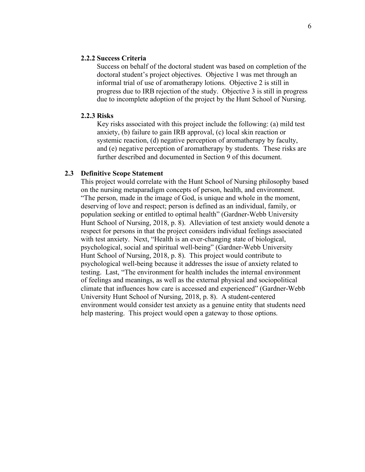#### **2.2.2 Success Criteria**

Success on behalf of the doctoral student was based on completion of the doctoral student's project objectives. Objective 1 was met through an informal trial of use of aromatherapy lotions. Objective 2 is still in progress due to IRB rejection of the study. Objective 3 is still in progress due to incomplete adoption of the project by the Hunt School of Nursing.

#### **2.2.3 Risks**

Key risks associated with this project include the following: (a) mild test anxiety, (b) failure to gain IRB approval, (c) local skin reaction or systemic reaction, (d) negative perception of aromatherapy by faculty, and (e) negative perception of aromatherapy by students. These risks are further described and documented in Section 9 of this document.

#### **2.3 Definitive Scope Statement**

This project would correlate with the Hunt School of Nursing philosophy based on the nursing metaparadigm concepts of person, health, and environment. "The person, made in the image of God, is unique and whole in the moment, deserving of love and respect; person is defined as an individual, family, or population seeking or entitled to optimal health" (Gardner-Webb University Hunt School of Nursing, 2018, p. 8). Alleviation of test anxiety would denote a respect for persons in that the project considers individual feelings associated with test anxiety. Next, "Health is an ever-changing state of biological, psychological, social and spiritual well-being" (Gardner-Webb University Hunt School of Nursing, 2018, p. 8). This project would contribute to psychological well-being because it addresses the issue of anxiety related to testing. Last, "The environment for health includes the internal environment of feelings and meanings, as well as the external physical and sociopolitical climate that influences how care is accessed and experienced" (Gardner-Webb University Hunt School of Nursing, 2018, p. 8). A student-centered environment would consider test anxiety as a genuine entity that students need help mastering. This project would open a gateway to those options.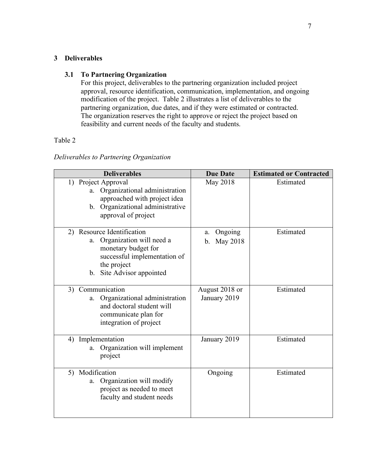## **3 Deliverables**

## **3.1 To Partnering Organization**

For this project, deliverables to the partnering organization included project approval, resource identification, communication, implementation, and ongoing modification of the project. Table 2 illustrates a list of deliverables to the partnering organization, due dates, and if they were estimated or contracted. The organization reserves the right to approve or reject the project based on feasibility and current needs of the faculty and students.

## Table 2

## *Deliverables to Partnering Organization*

| <b>Deliverables</b>                                                                                                                                                | <b>Due Date</b>                 | <b>Estimated or Contracted</b> |
|--------------------------------------------------------------------------------------------------------------------------------------------------------------------|---------------------------------|--------------------------------|
| 1) Project Approval<br>Organizational administration<br>a.<br>approached with project idea<br>Organizational administrative<br>b.<br>approval of project           | May 2018                        | Estimated                      |
| 2) Resource Identification<br>Organization will need a<br>a.<br>monetary budget for<br>successful implementation of<br>the project<br>Site Advisor appointed<br>b. | Ongoing<br>a.<br>May 2018<br>b. | Estimated                      |
| Communication<br>3)<br>Organizational administration<br>a.<br>and doctoral student will<br>communicate plan for<br>integration of project                          | August 2018 or<br>January 2019  | Estimated                      |
| Implementation<br>4)<br>Organization will implement<br>a.<br>project                                                                                               | January 2019                    | Estimated                      |
| Modification<br>5)<br>Organization will modify<br>a.<br>project as needed to meet<br>faculty and student needs                                                     | Ongoing                         | Estimated                      |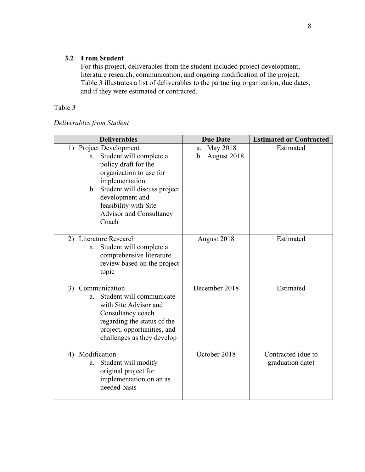## **3.2 From Student**

For this project, deliverables from the student included project development, literature research, communication, and ongoing modification of the project. Table 3 illustrates a list of deliverables to the partnering organization, due dates, and if they were estimated or contracted.

## Table 3

| Deliverables from Student |  |
|---------------------------|--|
|---------------------------|--|

| <b>Deliverables</b>                                                                                                                                                                                                                                    | <b>Due Date</b>                     | <b>Estimated or Contracted</b>         |
|--------------------------------------------------------------------------------------------------------------------------------------------------------------------------------------------------------------------------------------------------------|-------------------------------------|----------------------------------------|
| 1) Project Development<br>Student will complete a<br>a.<br>policy draft for the<br>organization to use for<br>implementation<br>b. Student will discuss project<br>development and<br>feasibility with Site<br><b>Advisor and Consultancy</b><br>Coach | May 2018<br>a.<br>August 2018<br>b. | Estimated                              |
| 2) Literature Research<br>Student will complete a<br>a.<br>comprehensive literature<br>review based on the project<br>topic                                                                                                                            | August 2018                         | Estimated                              |
| Communication<br>3)<br>Student will communicate<br>a.<br>with Site Advisor and<br>Consultancy coach<br>regarding the status of the<br>project, opportunities, and<br>challenges as they develop                                                        | December 2018                       | Estimated                              |
| 4) Modification<br>Student will modify<br>a.<br>original project for<br>implementation on an as<br>needed basis                                                                                                                                        | October 2018                        | Contracted (due to<br>graduation date) |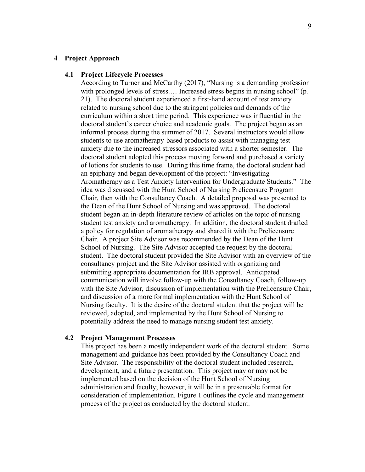#### **4 Project Approach**

#### **4.1 Project Lifecycle Processes**

According to Turner and McCarthy (2017), "Nursing is a demanding profession with prolonged levels of stress.... Increased stress begins in nursing school" (p. 21). The doctoral student experienced a first-hand account of test anxiety related to nursing school due to the stringent policies and demands of the curriculum within a short time period. This experience was influential in the doctoral student's career choice and academic goals. The project began as an informal process during the summer of 2017. Several instructors would allow students to use aromatherapy-based products to assist with managing test anxiety due to the increased stressors associated with a shorter semester. The doctoral student adopted this process moving forward and purchased a variety of lotions for students to use. During this time frame, the doctoral student had an epiphany and began development of the project: "Investigating Aromatherapy as a Test Anxiety Intervention for Undergraduate Students." The idea was discussed with the Hunt School of Nursing Prelicensure Program Chair, then with the Consultancy Coach. A detailed proposal was presented to the Dean of the Hunt School of Nursing and was approved. The doctoral student began an in-depth literature review of articles on the topic of nursing student test anxiety and aromatherapy. In addition, the doctoral student drafted a policy for regulation of aromatherapy and shared it with the Prelicensure Chair. A project Site Advisor was recommended by the Dean of the Hunt School of Nursing. The Site Advisor accepted the request by the doctoral student. The doctoral student provided the Site Advisor with an overview of the consultancy project and the Site Advisor assisted with organizing and submitting appropriate documentation for IRB approval. Anticipated communication will involve follow-up with the Consultancy Coach, follow-up with the Site Advisor, discussion of implementation with the Prelicensure Chair, and discussion of a more formal implementation with the Hunt School of Nursing faculty. It is the desire of the doctoral student that the project will be reviewed, adopted, and implemented by the Hunt School of Nursing to potentially address the need to manage nursing student test anxiety.

#### **4.2 Project Management Processes**

This project has been a mostly independent work of the doctoral student. Some management and guidance has been provided by the Consultancy Coach and Site Advisor. The responsibility of the doctoral student included research, development, and a future presentation. This project may or may not be implemented based on the decision of the Hunt School of Nursing administration and faculty; however, it will be in a presentable format for consideration of implementation. Figure 1 outlines the cycle and management process of the project as conducted by the doctoral student.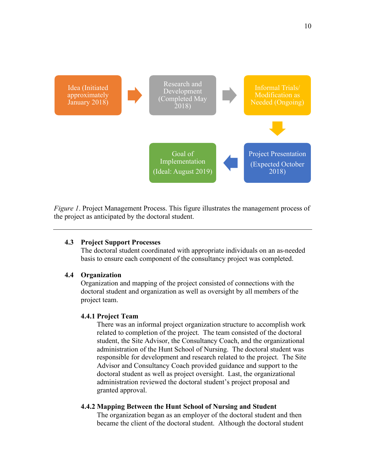

*Figure 1*. Project Management Process. This figure illustrates the management process of the project as anticipated by the doctoral student.

#### **4.3 Project Support Processes**

The doctoral student coordinated with appropriate individuals on an as-needed basis to ensure each component of the consultancy project was completed.

#### **4.4 Organization**

Organization and mapping of the project consisted of connections with the doctoral student and organization as well as oversight by all members of the project team.

#### **4.4.1 Project Team**

There was an informal project organization structure to accomplish work related to completion of the project. The team consisted of the doctoral student, the Site Advisor, the Consultancy Coach, and the organizational administration of the Hunt School of Nursing. The doctoral student was responsible for development and research related to the project. The Site Advisor and Consultancy Coach provided guidance and support to the doctoral student as well as project oversight. Last, the organizational administration reviewed the doctoral student's project proposal and granted approval.

## **4.4.2 Mapping Between the Hunt School of Nursing and Student**

The organization began as an employer of the doctoral student and then became the client of the doctoral student. Although the doctoral student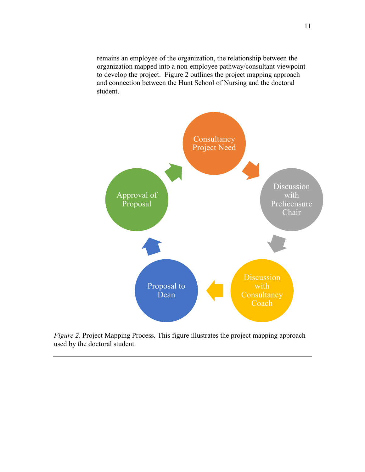remains an employee of the organization, the relationship between the organization mapped into a non-employee pathway/consultant viewpoint to develop the project. Figure 2 outlines the project mapping approach and connection between the Hunt School of Nursing and the doctoral student.



*Figure 2*. Project Mapping Process. This figure illustrates the project mapping approach used by the doctoral student.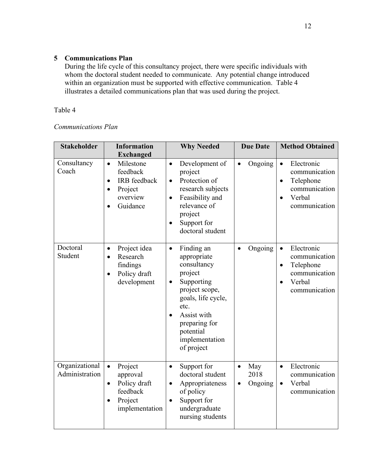## **5 Communications Plan**

During the life cycle of this consultancy project, there were specific individuals with whom the doctoral student needed to communicate. Any potential change introduced within an organization must be supported with effective communication. Table 4 illustrates a detailed communications plan that was used during the project.

## Table 4

## *Communications Plan*

| <b>Stakeholder</b>               | <b>Information</b><br><b>Exchanged</b>                                                                                              | <b>Why Needed</b>                                                                                                                                                                                                        | <b>Due Date</b>                          | <b>Method Obtained</b>                                                                                                      |
|----------------------------------|-------------------------------------------------------------------------------------------------------------------------------------|--------------------------------------------------------------------------------------------------------------------------------------------------------------------------------------------------------------------------|------------------------------------------|-----------------------------------------------------------------------------------------------------------------------------|
| Consultancy<br>Coach             | Milestone<br>$\bullet$<br>feedback<br><b>IRB</b> feedback<br>$\bullet$<br>Project<br>$\bullet$<br>overview<br>Guidance<br>$\bullet$ | Development of<br>$\bullet$<br>project<br>Protection of<br>$\bullet$<br>research subjects<br>Feasibility and<br>$\bullet$<br>relevance of<br>project<br>Support for<br>doctoral student                                  | Ongoing<br>$\bullet$                     | Electronic<br>$\bullet$<br>communication<br>Telephone<br>$\bullet$<br>communication<br>Verbal<br>$\bullet$<br>communication |
| Doctoral<br>Student              | Project idea<br>$\bullet$<br>Research<br>$\bullet$<br>findings<br>Policy draft<br>$\bullet$<br>development                          | Finding an<br>$\bullet$<br>appropriate<br>consultancy<br>project<br>Supporting<br>$\bullet$<br>project scope,<br>goals, life cycle,<br>etc.<br>Assist with<br>preparing for<br>potential<br>implementation<br>of project | Ongoing<br>$\bullet$                     | Electronic<br>$\bullet$<br>communication<br>Telephone<br>$\bullet$<br>communication<br>Verbal<br>$\bullet$<br>communication |
| Organizational<br>Administration | Project<br>$\bullet$<br>approval<br>Policy draft<br>$\bullet$<br>feedback<br>Project<br>$\bullet$<br>implementation                 | Support for<br>٠<br>doctoral student<br>Appropriateness<br>$\bullet$<br>of policy<br>Support for<br>$\bullet$<br>undergraduate<br>nursing students                                                                       | May<br>$\bullet$<br>2018<br>Ongoing<br>٠ | Electronic<br>$\bullet$<br>communication<br>Verbal<br>$\bullet$<br>communication                                            |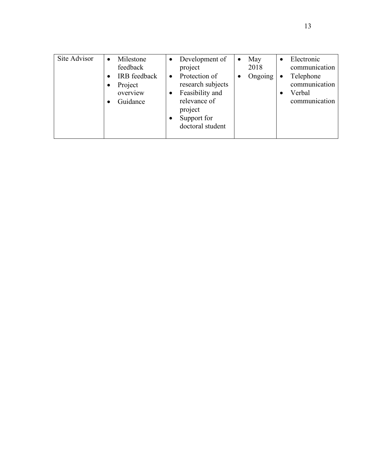| Site Advisor | Milestone<br>feedback<br><b>IRB</b> feedback<br>Project<br>overview<br>Guidance | Development of<br>$\bullet$<br>project<br>Protection of<br>$\bullet$<br>research subjects<br>Feasibility and<br>relevance of<br>project<br>Support for<br>doctoral student | May<br>$\bullet$<br>2018<br>Ongoing | Electronic<br>$\bullet$<br>communication<br>Telephone<br>communication<br>Verbal<br>communication |
|--------------|---------------------------------------------------------------------------------|----------------------------------------------------------------------------------------------------------------------------------------------------------------------------|-------------------------------------|---------------------------------------------------------------------------------------------------|
|--------------|---------------------------------------------------------------------------------|----------------------------------------------------------------------------------------------------------------------------------------------------------------------------|-------------------------------------|---------------------------------------------------------------------------------------------------|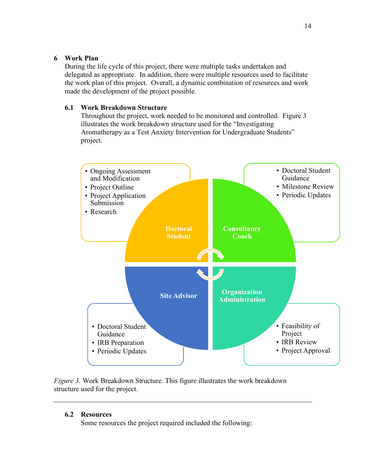## **6 Work Plan**

During the life cycle of this project, there were multiple tasks undertaken and delegated as appropriate. In addition, there were multiple resources used to facilitate the work plan of this project. Overall, a dynamic combination of resources and work made the development of the project possible.

## **6.1 Work Breakdown Structure**

Throughout the project, work needed to be monitored and controlled. Figure 3 illustrates the work breakdown structure used for the "Investigating Aromatherapy as a Test Anxiety Intervention for Undergraduate Students" project.



*Figure 3*. Work Breakdown Structure. This figure illustrates the work breakdown structure used for the project.

## **6.2 Resources**

Some resources the project required included the following: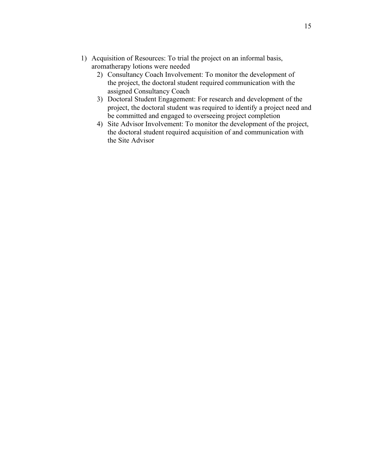- 1) Acquisition of Resources: To trial the project on an informal basis, aromatherapy lotions were needed
	- 2) Consultancy Coach Involvement: To monitor the development of the project, the doctoral student required communication with the assigned Consultancy Coach
	- 3) Doctoral Student Engagement: For research and development of the project, the doctoral student was required to identify a project need and be committed and engaged to overseeing project completion
	- 4) Site Advisor Involvement: To monitor the development of the project, the doctoral student required acquisition of and communication with the Site Advisor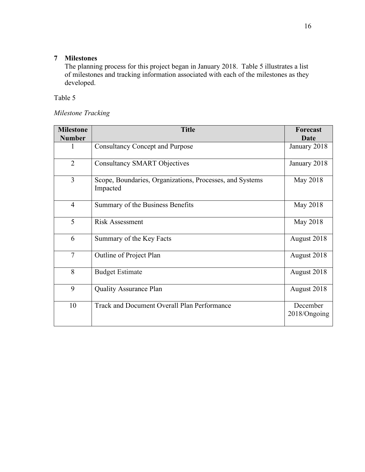## **7 Milestones**

The planning process for this project began in January 2018. Table 5 illustrates a list of milestones and tracking information associated with each of the milestones as they developed.

Table 5

## *Milestone Tracking*

| <b>Milestone</b> | <b>Title</b>                                                         | <b>Forecast</b>          |
|------------------|----------------------------------------------------------------------|--------------------------|
| <b>Number</b>    |                                                                      | <b>Date</b>              |
| 1                | <b>Consultancy Concept and Purpose</b>                               | January 2018             |
| $\overline{2}$   | <b>Consultancy SMART Objectives</b>                                  | January 2018             |
| 3                | Scope, Boundaries, Organizations, Processes, and Systems<br>Impacted | May 2018                 |
| $\overline{4}$   | Summary of the Business Benefits                                     | May 2018                 |
| 5                | <b>Risk Assessment</b>                                               | May 2018                 |
| 6                | Summary of the Key Facts                                             | August 2018              |
| $\overline{7}$   | Outline of Project Plan                                              | August 2018              |
| 8                | <b>Budget Estimate</b>                                               | August 2018              |
| 9                | <b>Quality Assurance Plan</b>                                        | August 2018              |
| 10               | Track and Document Overall Plan Performance                          | December<br>2018/Ongoing |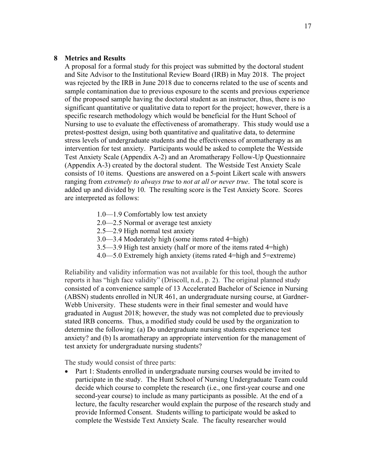#### **8 Metrics and Results**

A proposal for a formal study for this project was submitted by the doctoral student and Site Advisor to the Institutional Review Board (IRB) in May 2018. The project was rejected by the IRB in June 2018 due to concerns related to the use of scents and sample contamination due to previous exposure to the scents and previous experience of the proposed sample having the doctoral student as an instructor, thus, there is no significant quantitative or qualitative data to report for the project; however, there is a specific research methodology which would be beneficial for the Hunt School of Nursing to use to evaluate the effectiveness of aromatherapy. This study would use a pretest-posttest design, using both quantitative and qualitative data, to determine stress levels of undergraduate students and the effectiveness of aromatherapy as an intervention for test anxiety. Participants would be asked to complete the Westside Test Anxiety Scale (Appendix A-2) and an Aromatherapy Follow-Up Questionnaire (Appendix A-3) created by the doctoral student. The Westside Test Anxiety Scale consists of 10 items. Questions are answered on a 5-point Likert scale with answers ranging from *extremely to always true* to *not at all or never true*. The total score is added up and divided by 10. The resulting score is the Test Anxiety Score. Scores are interpreted as follows:

- 1.0—1.9 Comfortably low test anxiety
- 2.0—2.5 Normal or average test anxiety
- 2.5—2.9 High normal test anxiety
- 3.0—3.4 Moderately high (some items rated 4=high)
- 3.5—3.9 High test anxiety (half or more of the items rated 4=high)
- 4.0—5.0 Extremely high anxiety (items rated 4=high and 5=extreme)

Reliability and validity information was not available for this tool, though the author reports it has "high face validity" (Driscoll, n.d., p. 2). The original planned study consisted of a convenience sample of 13 Accelerated Bachelor of Science in Nursing (ABSN) students enrolled in NUR 461, an undergraduate nursing course, at Gardner-Webb University. These students were in their final semester and would have graduated in August 2018; however, the study was not completed due to previously stated IRB concerns. Thus, a modified study could be used by the organization to determine the following: (a) Do undergraduate nursing students experience test anxiety? and (b) Is aromatherapy an appropriate intervention for the management of test anxiety for undergraduate nursing students?

The study would consist of three parts:

• Part 1: Students enrolled in undergraduate nursing courses would be invited to participate in the study. The Hunt School of Nursing Undergraduate Team could decide which course to complete the research (i.e., one first-year course and one second-year course) to include as many participants as possible. At the end of a lecture, the faculty researcher would explain the purpose of the research study and provide Informed Consent. Students willing to participate would be asked to complete the Westside Text Anxiety Scale. The faculty researcher would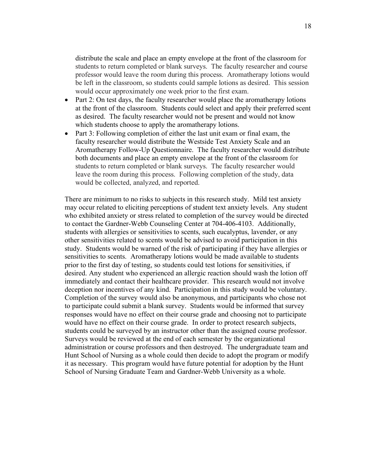distribute the scale and place an empty envelope at the front of the classroom for students to return completed or blank surveys. The faculty researcher and course professor would leave the room during this process. Aromatherapy lotions would be left in the classroom, so students could sample lotions as desired. This session would occur approximately one week prior to the first exam.

- Part 2: On test days, the faculty researcher would place the aromatherapy lotions at the front of the classroom. Students could select and apply their preferred scent as desired. The faculty researcher would not be present and would not know which students choose to apply the aromatherapy lotions.
- Part 3: Following completion of either the last unit exam or final exam, the faculty researcher would distribute the Westside Test Anxiety Scale and an Aromatherapy Follow-Up Questionnaire. The faculty researcher would distribute both documents and place an empty envelope at the front of the classroom for students to return completed or blank surveys. The faculty researcher would leave the room during this process. Following completion of the study, data would be collected, analyzed, and reported.

There are minimum to no risks to subjects in this research study. Mild test anxiety may occur related to eliciting perceptions of student text anxiety levels. Any student who exhibited anxiety or stress related to completion of the survey would be directed to contact the Gardner-Webb Counseling Center at 704-406-4103. Additionally, students with allergies or sensitivities to scents, such eucalyptus, lavender, or any other sensitivities related to scents would be advised to avoid participation in this study. Students would be warned of the risk of participating if they have allergies or sensitivities to scents. Aromatherapy lotions would be made available to students prior to the first day of testing, so students could test lotions for sensitivities, if desired. Any student who experienced an allergic reaction should wash the lotion off immediately and contact their healthcare provider. This research would not involve deception nor incentives of any kind. Participation in this study would be voluntary. Completion of the survey would also be anonymous, and participants who chose not to participate could submit a blank survey. Students would be informed that survey responses would have no effect on their course grade and choosing not to participate would have no effect on their course grade. In order to protect research subjects, students could be surveyed by an instructor other than the assigned course professor. Surveys would be reviewed at the end of each semester by the organizational administration or course professors and then destroyed. The undergraduate team and Hunt School of Nursing as a whole could then decide to adopt the program or modify it as necessary. This program would have future potential for adoption by the Hunt School of Nursing Graduate Team and Gardner-Webb University as a whole.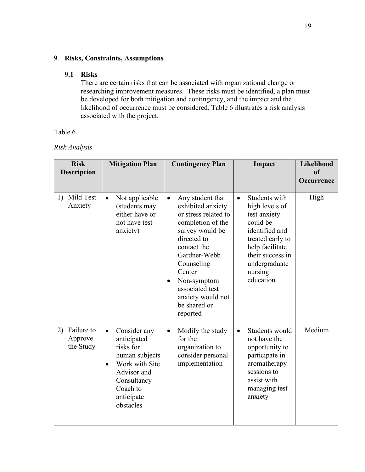## **9 Risks, Constraints, Assumptions**

#### **9.1 Risks**

 There are certain risks that can be associated with organizational change or researching improvement measures. These risks must be identified, a plan must be developed for both mitigation and contingency, and the impact and the likelihood of occurrence must be considered. Table 6 illustrates a risk analysis associated with the project.

## Table 6

#### *Risk Analysis*

| <b>Risk</b><br><b>Description</b>        | <b>Mitigation Plan</b>                                                                                                                                                      | <b>Contingency Plan</b>                                                                                                                                                                                                                                                                  | Impact                                                                                                                                                                                         | Likelihood<br>of<br>Occurrence |
|------------------------------------------|-----------------------------------------------------------------------------------------------------------------------------------------------------------------------------|------------------------------------------------------------------------------------------------------------------------------------------------------------------------------------------------------------------------------------------------------------------------------------------|------------------------------------------------------------------------------------------------------------------------------------------------------------------------------------------------|--------------------------------|
| Mild Test<br>1)<br>Anxiety               | Not applicable<br>$\bullet$<br>(students may<br>either have or<br>not have test<br>anxiety)                                                                                 | Any student that<br>$\bullet$<br>exhibited anxiety<br>or stress related to<br>completion of the<br>survey would be<br>directed to<br>contact the<br>Gardner-Webb<br>Counseling<br>Center<br>Non-symptom<br>$\bullet$<br>associated test<br>anxiety would not<br>be shared or<br>reported | Students with<br>$\bullet$<br>high levels of<br>test anxiety<br>could be<br>identified and<br>treated early to<br>help facilitate<br>their success in<br>undergraduate<br>nursing<br>education | High                           |
| Failure to<br>2)<br>Approve<br>the Study | Consider any<br>$\bullet$<br>anticipated<br>risks for<br>human subjects<br>Work with Site<br>$\bullet$<br>Advisor and<br>Consultancy<br>Coach to<br>anticipate<br>obstacles | Modify the study<br>$\bullet$<br>for the<br>organization to<br>consider personal<br>implementation                                                                                                                                                                                       | Students would<br>$\bullet$<br>not have the<br>opportunity to<br>participate in<br>aromatherapy<br>sessions to<br>assist with<br>managing test<br>anxiety                                      | Medium                         |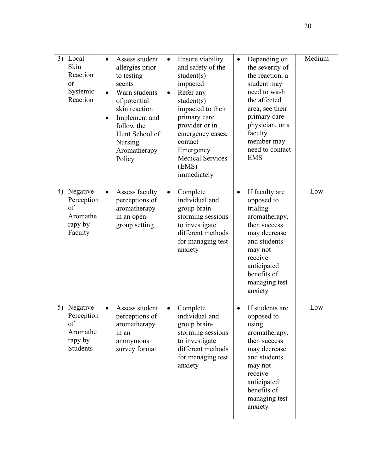|    | 3) Local<br>Skin<br>Reaction<br>or<br>Systemic<br>Reaction      | $\bullet$<br>$\bullet$ | Assess student<br>allergies prior<br>to testing<br>scents<br>Warn students<br>of potential<br>skin reaction<br>Implement and<br>follow the<br>Hunt School of<br><b>Nursing</b><br>Aromatherapy<br>Policy | $\bullet$<br>$\bullet$ | Ensure viability<br>and safety of the<br>student(s)<br>impacted<br>Refer any<br>student(s)<br>impacted to their<br>primary care<br>provider or in<br>emergency cases,<br>contact<br>Emergency<br><b>Medical Services</b><br>(EMS)<br>immediately | $\bullet$ | Depending on<br>the severity of<br>the reaction, a<br>student may<br>need to wash<br>the affected<br>area, see their<br>primary care<br>physician, or a<br>faculty<br>member may<br>need to contact<br><b>EMS</b> | Medium |
|----|-----------------------------------------------------------------|------------------------|----------------------------------------------------------------------------------------------------------------------------------------------------------------------------------------------------------|------------------------|--------------------------------------------------------------------------------------------------------------------------------------------------------------------------------------------------------------------------------------------------|-----------|-------------------------------------------------------------------------------------------------------------------------------------------------------------------------------------------------------------------|--------|
| 4) | Negative<br>Perception<br>of<br>Aromathe<br>rapy by<br>Faculty  | $\bullet$              | Assess faculty<br>perceptions of<br>aromatherapy<br>in an open-<br>group setting                                                                                                                         | $\bullet$              | Complete<br>individual and<br>group brain-<br>storming sessions<br>to investigate<br>different methods<br>for managing test<br>anxiety                                                                                                           | $\bullet$ | If faculty are<br>opposed to<br>trialing<br>aromatherapy,<br>then success<br>may decrease<br>and students<br>may not<br>receive<br>anticipated<br>benefits of<br>managing test<br>anxiety                         | Low    |
| 5) | Negative<br>Perception<br>of<br>Aromathe<br>rapy by<br>Students |                        | Assess student<br>perceptions of<br>aromatherapy<br>in an<br>anonymous<br>survey format                                                                                                                  | $\bullet$              | Complete<br>individual and<br>group brain-<br>storming sessions<br>to investigate<br>different methods<br>for managing test<br>anxiety                                                                                                           | $\bullet$ | If students are<br>opposed to<br>using<br>aromatherapy,<br>then success<br>may decrease<br>and students<br>may not<br>receive<br>anticipated<br>benefits of<br>managing test<br>anxiety                           | Low    |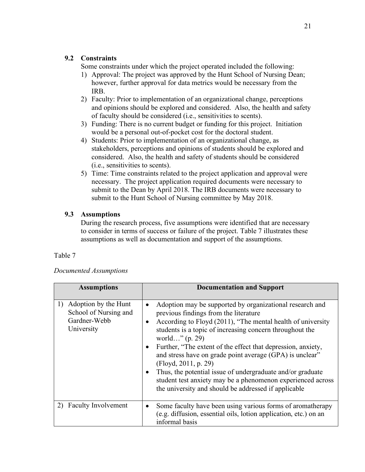## **9.2 Constraints**

Some constraints under which the project operated included the following:

- 1) Approval: The project was approved by the Hunt School of Nursing Dean; however, further approval for data metrics would be necessary from the IRB.
- 2) Faculty: Prior to implementation of an organizational change, perceptions and opinions should be explored and considered. Also, the health and safety of faculty should be considered (i.e., sensitivities to scents).
- 3) Funding: There is no current budget or funding for this project. Initiation would be a personal out-of-pocket cost for the doctoral student.
- 4) Students: Prior to implementation of an organizational change, as stakeholders, perceptions and opinions of students should be explored and considered. Also, the health and safety of students should be considered (i.e., sensitivities to scents).
- 5) Time: Time constraints related to the project application and approval were necessary. The project application required documents were necessary to submit to the Dean by April 2018. The IRB documents were necessary to submit to the Hunt School of Nursing committee by May 2018.

## **9.3 Assumptions**

During the research process, five assumptions were identified that are necessary to consider in terms of success or failure of the project. Table 7 illustrates these assumptions as well as documentation and support of the assumptions.

## Table 7

| Documented Assumptions |  |
|------------------------|--|
|------------------------|--|

| <b>Assumptions</b>                                                                | <b>Documentation and Support</b>                                                                                                                                                                                                                                                                                                                                                                                                                                                                                                                                                                                    |
|-----------------------------------------------------------------------------------|---------------------------------------------------------------------------------------------------------------------------------------------------------------------------------------------------------------------------------------------------------------------------------------------------------------------------------------------------------------------------------------------------------------------------------------------------------------------------------------------------------------------------------------------------------------------------------------------------------------------|
| Adoption by the Hunt<br>1)<br>School of Nursing and<br>Gardner-Webb<br>University | Adoption may be supported by organizational research and<br>$\bullet$<br>previous findings from the literature<br>According to Floyd (2011), "The mental health of university<br>students is a topic of increasing concern throughout the<br>world" $(p. 29)$<br>Further, "The extent of the effect that depression, anxiety,<br>and stress have on grade point average (GPA) is unclear"<br>(Floyd, 2011, p. 29)<br>Thus, the potential issue of undergraduate and/or graduate<br>$\bullet$<br>student test anxiety may be a phenomenon experienced across<br>the university and should be addressed if applicable |
| 2) Faculty Involvement                                                            | Some faculty have been using various forms of aromatherapy<br>$\bullet$<br>(e.g. diffusion, essential oils, lotion application, etc.) on an<br>informal basis                                                                                                                                                                                                                                                                                                                                                                                                                                                       |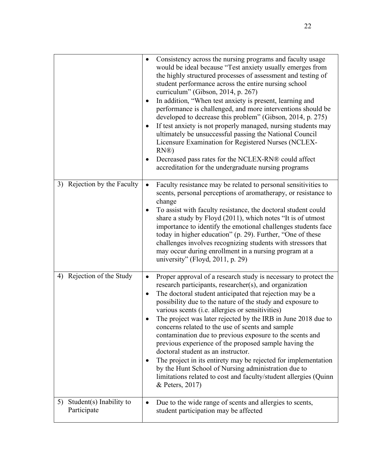|                                              | Consistency across the nursing programs and faculty usage<br>$\bullet$<br>would be ideal because "Test anxiety usually emerges from<br>the highly structured processes of assessment and testing of<br>student performance across the entire nursing school<br>curriculum" (Gibson, 2014, p. 267)<br>In addition, "When test anxiety is present, learning and<br>٠<br>performance is challenged, and more interventions should be<br>developed to decrease this problem" (Gibson, 2014, p. 275)<br>If test anxiety is not properly managed, nursing students may<br>$\bullet$<br>ultimately be unsuccessful passing the National Council<br>Licensure Examination for Registered Nurses (NCLEX-<br>RN@<br>Decreased pass rates for the NCLEX-RN® could affect<br>$\bullet$<br>accreditation for the undergraduate nursing programs |
|----------------------------------------------|------------------------------------------------------------------------------------------------------------------------------------------------------------------------------------------------------------------------------------------------------------------------------------------------------------------------------------------------------------------------------------------------------------------------------------------------------------------------------------------------------------------------------------------------------------------------------------------------------------------------------------------------------------------------------------------------------------------------------------------------------------------------------------------------------------------------------------|
| Rejection by the Faculty<br>3)               | Faculty resistance may be related to personal sensitivities to<br>$\bullet$<br>scents, personal perceptions of aromatherapy, or resistance to<br>change<br>To assist with faculty resistance, the doctoral student could<br>$\bullet$<br>share a study by Floyd (2011), which notes "It is of utmost<br>importance to identify the emotional challenges students face<br>today in higher education" (p. 29). Further, "One of these<br>challenges involves recognizing students with stressors that<br>may occur during enrollment in a nursing program at a<br>university" (Floyd, 2011, p. 29)                                                                                                                                                                                                                                   |
| Rejection of the Study<br>4)                 | Proper approval of a research study is necessary to protect the<br>$\bullet$<br>research participants, researcher(s), and organization<br>The doctoral student anticipated that rejection may be a<br>٠<br>possibility due to the nature of the study and exposure to<br>various scents (i.e. allergies or sensitivities)<br>The project was later rejected by the IRB in June 2018 due to<br>concerns related to the use of scents and sample<br>contamination due to previous exposure to the scents and<br>previous experience of the proposed sample having the<br>doctoral student as an instructor.<br>The project in its entirety may be rejected for implementation<br>by the Hunt School of Nursing administration due to<br>limitations related to cost and faculty/student allergies (Quinn<br>& Peters, 2017)          |
| Student(s) Inability to<br>5)<br>Participate | Due to the wide range of scents and allergies to scents,<br>$\bullet$<br>student participation may be affected                                                                                                                                                                                                                                                                                                                                                                                                                                                                                                                                                                                                                                                                                                                     |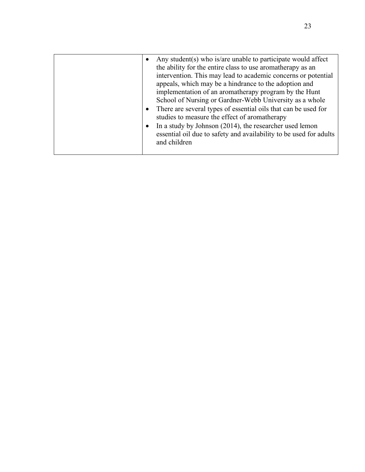|  | Any student(s) who is/are unable to participate would affect<br>the ability for the entire class to use aromatherapy as an<br>intervention. This may lead to academic concerns or potential<br>appeals, which may be a hindrance to the adoption and<br>implementation of an aromatherapy program by the Hunt<br>School of Nursing or Gardner-Webb University as a whole<br>There are several types of essential oils that can be used for<br>studies to measure the effect of aromatherapy<br>In a study by Johnson (2014), the researcher used lemon<br>essential oil due to safety and availability to be used for adults<br>and children |
|--|----------------------------------------------------------------------------------------------------------------------------------------------------------------------------------------------------------------------------------------------------------------------------------------------------------------------------------------------------------------------------------------------------------------------------------------------------------------------------------------------------------------------------------------------------------------------------------------------------------------------------------------------|
|--|----------------------------------------------------------------------------------------------------------------------------------------------------------------------------------------------------------------------------------------------------------------------------------------------------------------------------------------------------------------------------------------------------------------------------------------------------------------------------------------------------------------------------------------------------------------------------------------------------------------------------------------------|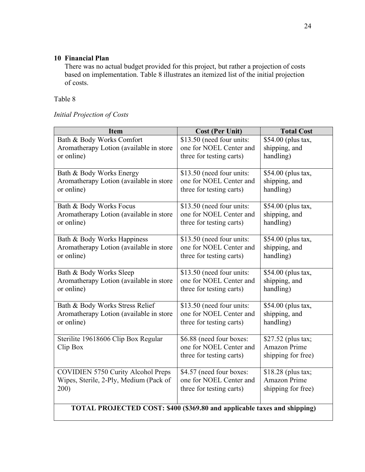## **10 Financial Plan**

There was no actual budget provided for this project, but rather a projection of costs based on implementation. Table 8 illustrates an itemized list of the initial projection of costs.

Table 8

| Initial Projection of Costs |  |
|-----------------------------|--|
|                             |  |

| <b>Item</b>                                                              | <b>Cost (Per Unit)</b>                               | <b>Total Cost</b>          |  |  |
|--------------------------------------------------------------------------|------------------------------------------------------|----------------------------|--|--|
| Bath & Body Works Comfort                                                | \$13.50 (need four units:                            | \$54.00 (plus tax,         |  |  |
| Aromatherapy Lotion (available in store                                  | one for NOEL Center and                              | shipping, and              |  |  |
| or online)                                                               | three for testing carts)                             | handling)                  |  |  |
|                                                                          |                                                      |                            |  |  |
| Bath & Body Works Energy                                                 | \$13.50 (need four units:                            | \$54.00 (plus tax,         |  |  |
| Aromatherapy Lotion (available in store<br>or online)                    | one for NOEL Center and                              | shipping, and<br>handling) |  |  |
|                                                                          | three for testing carts)                             |                            |  |  |
| Bath & Body Works Focus                                                  | \$13.50 (need four units:                            | \$54.00 (plus tax,         |  |  |
| Aromatherapy Lotion (available in store                                  | one for NOEL Center and                              | shipping, and              |  |  |
| or online)                                                               | three for testing carts)                             | handling)                  |  |  |
|                                                                          |                                                      |                            |  |  |
| Bath & Body Works Happiness                                              | \$13.50 (need four units:                            | \$54.00 (plus tax,         |  |  |
| Aromatherapy Lotion (available in store                                  | one for NOEL Center and                              | shipping, and              |  |  |
| or online)                                                               | three for testing carts)                             | handling)                  |  |  |
| Bath & Body Works Sleep                                                  | \$13.50 (need four units:                            | \$54.00 (plus tax,         |  |  |
| Aromatherapy Lotion (available in store                                  | one for NOEL Center and                              | shipping, and              |  |  |
| or online)                                                               | three for testing carts)                             | handling)                  |  |  |
|                                                                          |                                                      |                            |  |  |
| Bath & Body Works Stress Relief                                          | \$13.50 (need four units:<br>one for NOEL Center and | \$54.00 (plus tax,         |  |  |
| Aromatherapy Lotion (available in store<br>or online)                    | three for testing carts)                             | shipping, and<br>handling) |  |  |
|                                                                          |                                                      |                            |  |  |
| Sterilite 19618606 Clip Box Regular                                      | \$6.88 (need four boxes:                             | \$27.52 (plus tax;         |  |  |
| Clip Box                                                                 | one for NOEL Center and                              | Amazon Prime               |  |  |
|                                                                          | three for testing carts)                             | shipping for free)         |  |  |
| <b>COVIDIEN 5750 Curity Alcohol Preps</b>                                | \$4.57 (need four boxes:                             | \$18.28 (plus tax;         |  |  |
| Wipes, Sterile, 2-Ply, Medium (Pack of                                   | one for NOEL Center and                              | <b>Amazon Prime</b>        |  |  |
| 200)                                                                     | three for testing carts)                             | shipping for free)         |  |  |
|                                                                          |                                                      |                            |  |  |
| TOTAL PROJECTED COST: \$400 (\$369.80 and applicable taxes and shipping) |                                                      |                            |  |  |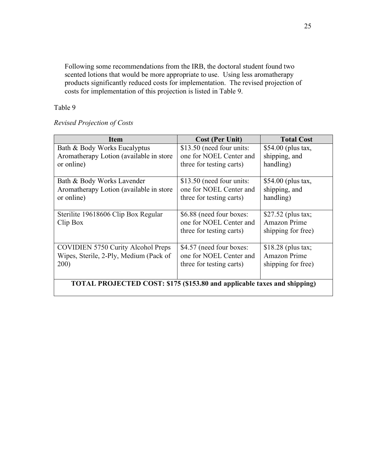Following some recommendations from the IRB, the doctoral student found two scented lotions that would be more appropriate to use. Using less aromatherapy products significantly reduced costs for implementation. The revised projection of costs for implementation of this projection is listed in Table 9.

Table 9

*Revised Projection of Costs*

| <b>Item</b>                                                              | <b>Cost (Per Unit)</b>                                                          | <b>Total Cost</b>                                                |  |  |
|--------------------------------------------------------------------------|---------------------------------------------------------------------------------|------------------------------------------------------------------|--|--|
| Bath & Body Works Eucalyptus                                             | \$13.50 (need four units:                                                       | \$54.00 (plus tax,                                               |  |  |
| Aromatherapy Lotion (available in store)                                 | one for NOEL Center and                                                         | shipping, and                                                    |  |  |
| or online)                                                               | three for testing carts)                                                        | handling)                                                        |  |  |
| Bath & Body Works Lavender                                               | \$13.50 (need four units:                                                       | $$54.00$ (plus tax,                                              |  |  |
| Aromatherapy Lotion (available in store)                                 | one for NOEL Center and                                                         | shipping, and                                                    |  |  |
| or online)                                                               | three for testing carts)                                                        | handling)                                                        |  |  |
| Sterilite 19618606 Clip Box Regular<br>Clip Box                          | \$6.88 (need four boxes:<br>one for NOEL Center and<br>three for testing carts) | $$27.52$ (plus tax;<br><b>Amazon Prime</b><br>shipping for free) |  |  |
| <b>COVIDIEN 5750 Curity Alcohol Preps</b>                                | \$4.57 (need four boxes:                                                        | $$18.28$ (plus tax;                                              |  |  |
| Wipes, Sterile, 2-Ply, Medium (Pack of                                   | one for NOEL Center and                                                         | <b>Amazon Prime</b>                                              |  |  |
| 200)                                                                     | three for testing carts)                                                        | shipping for free)                                               |  |  |
| TOTAL PROJECTED COST: \$175 (\$153.80 and applicable taxes and shipping) |                                                                                 |                                                                  |  |  |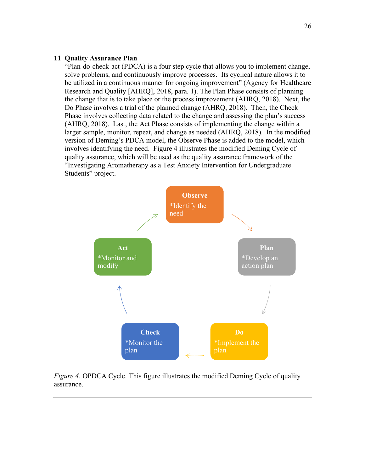#### **11 Quality Assurance Plan**

"Plan-do-check-act (PDCA) is a four step cycle that allows you to implement change, solve problems, and continuously improve processes. Its cyclical nature allows it to be utilized in a continuous manner for ongoing improvement" (Agency for Healthcare Research and Quality [AHRQ], 2018, para. 1). The Plan Phase consists of planning the change that is to take place or the process improvement (AHRQ, 2018). Next, the Do Phase involves a trial of the planned change (AHRQ, 2018). Then, the Check Phase involves collecting data related to the change and assessing the plan's success (AHRQ, 2018). Last, the Act Phase consists of implementing the change within a larger sample, monitor, repeat, and change as needed (AHRQ, 2018). In the modified version of Deming's PDCA model, the Observe Phase is added to the model, which involves identifying the need. Figure 4 illustrates the modified Deming Cycle of quality assurance, which will be used as the quality assurance framework of the "Investigating Aromatherapy as a Test Anxiety Intervention for Undergraduate Students" project.



*Figure 4*. OPDCA Cycle. This figure illustrates the modified Deming Cycle of quality assurance.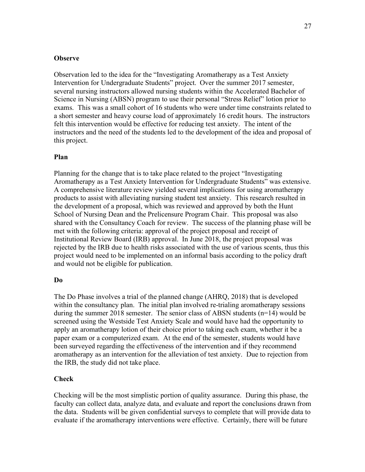#### **Observe**

Observation led to the idea for the "Investigating Aromatherapy as a Test Anxiety Intervention for Undergraduate Students" project. Over the summer 2017 semester, several nursing instructors allowed nursing students within the Accelerated Bachelor of Science in Nursing (ABSN) program to use their personal "Stress Relief" lotion prior to exams. This was a small cohort of 16 students who were under time constraints related to a short semester and heavy course load of approximately 16 credit hours. The instructors felt this intervention would be effective for reducing test anxiety. The intent of the instructors and the need of the students led to the development of the idea and proposal of this project.

#### **Plan**

Planning for the change that is to take place related to the project "Investigating Aromatherapy as a Test Anxiety Intervention for Undergraduate Students" was extensive. A comprehensive literature review yielded several implications for using aromatherapy products to assist with alleviating nursing student test anxiety. This research resulted in the development of a proposal, which was reviewed and approved by both the Hunt School of Nursing Dean and the Prelicensure Program Chair. This proposal was also shared with the Consultancy Coach for review. The success of the planning phase will be met with the following criteria: approval of the project proposal and receipt of Institutional Review Board (IRB) approval. In June 2018, the project proposal was rejected by the IRB due to health risks associated with the use of various scents, thus this project would need to be implemented on an informal basis according to the policy draft and would not be eligible for publication.

#### **Do**

The Do Phase involves a trial of the planned change (AHRQ, 2018) that is developed within the consultancy plan. The initial plan involved re-trialing aromatherapy sessions during the summer 2018 semester. The senior class of ABSN students (n=14) would be screened using the Westside Test Anxiety Scale and would have had the opportunity to apply an aromatherapy lotion of their choice prior to taking each exam, whether it be a paper exam or a computerized exam. At the end of the semester, students would have been surveyed regarding the effectiveness of the intervention and if they recommend aromatherapy as an intervention for the alleviation of test anxiety. Due to rejection from the IRB, the study did not take place.

#### **Check**

Checking will be the most simplistic portion of quality assurance. During this phase, the faculty can collect data, analyze data, and evaluate and report the conclusions drawn from the data. Students will be given confidential surveys to complete that will provide data to evaluate if the aromatherapy interventions were effective. Certainly, there will be future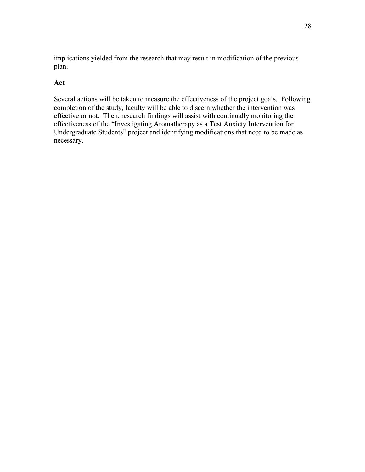implications yielded from the research that may result in modification of the previous plan.

## **Act**

Several actions will be taken to measure the effectiveness of the project goals. Following completion of the study, faculty will be able to discern whether the intervention was effective or not. Then, research findings will assist with continually monitoring the effectiveness of the "Investigating Aromatherapy as a Test Anxiety Intervention for Undergraduate Students" project and identifying modifications that need to be made as necessary.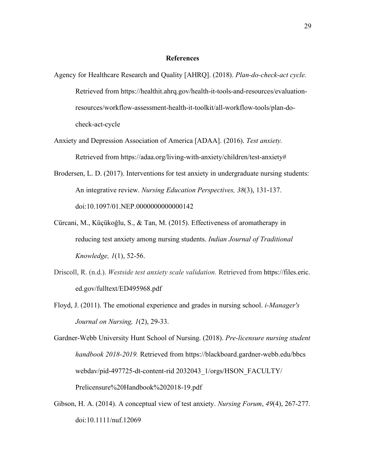#### **References**

- Agency for Healthcare Research and Quality [AHRQ]. (2018). *Plan-do-check-act cycle.*  Retrieved from https://healthit.ahrq.gov/health-it-tools-and-resources/evaluationresources/workflow-assessment-health-it-toolkit/all-workflow-tools/plan-docheck-act-cycle
- Anxiety and Depression Association of America [ADAA]. (2016). *Test anxiety.*  Retrieved from https://adaa.org/living-with-anxiety/children/test-anxiety#
- Brodersen, L. D. (2017). Interventions for test anxiety in undergraduate nursing students: An integrative review. *Nursing Education Perspectives, 38*(3), 131-137. doi:10.1097/01.NEP.0000000000000142
- Cürcani, M., Küçükoğlu, S., & Tan, M. (2015). Effectiveness of aromatherapy in reducing test anxiety among nursing students. *Indian Journal of Traditional Knowledge, 1*(1), 52-56.
- Driscoll, R. (n.d.). *Westside test anxiety scale validation.* Retrieved from https://files.eric. ed.gov/fulltext/ED495968.pdf
- Floyd, J. (2011). The emotional experience and grades in nursing school. *i-Manager's Journal on Nursing, 1*(2), 29-33.

Gardner-Webb University Hunt School of Nursing. (2018). *Pre-licensure nursing student handbook 2018-2019.* Retrieved from https://blackboard.gardner-webb.edu/bbcs webdav/pid-497725-dt-content-rid 2032043\_1/orgs/HSON\_FACULTY/ Prelicensure%20Handbook%202018-19.pdf

Gibson, H. A. (2014). A conceptual view of test anxiety. *Nursing Forum*, *49*(4), 267-277. doi:10.1111/nuf.12069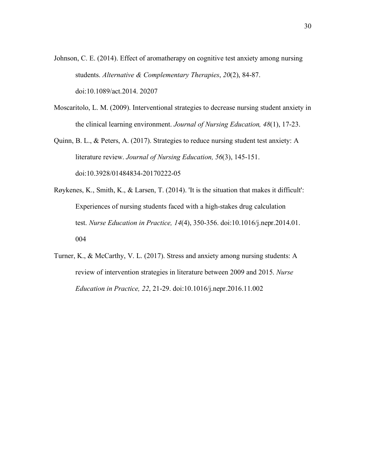- Johnson, C. E. (2014). Effect of aromatherapy on cognitive test anxiety among nursing students. *Alternative & Complementary Therapies*, *20*(2), 84-87. doi:10.1089/act.2014. 20207
- Moscaritolo, L. M. (2009). Interventional strategies to decrease nursing student anxiety in the clinical learning environment. *Journal of Nursing Education, 48*(1), 17-23.
- Quinn, B. L., & Peters, A. (2017). Strategies to reduce nursing student test anxiety: A literature review. *Journal of Nursing Education, 56*(3), 145-151. doi:10.3928/01484834-20170222-05
- Røykenes, K., Smith, K., & Larsen, T. (2014). 'It is the situation that makes it difficult': Experiences of nursing students faced with a high-stakes drug calculation test. *Nurse Education in Practice, 14*(4), 350-356. doi:10.1016/j.nepr.2014.01. 004
- Turner, K., & McCarthy, V. L. (2017). Stress and anxiety among nursing students: A review of intervention strategies in literature between 2009 and 2015. *Nurse Education in Practice, 22*, 21-29. doi:10.1016/j.nepr.2016.11.002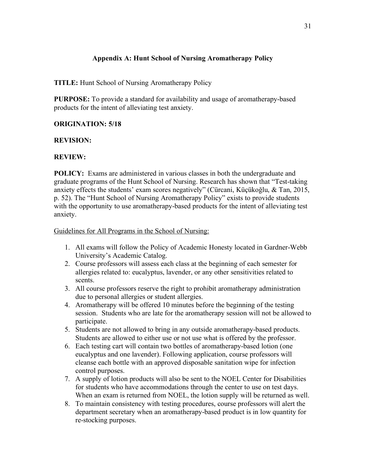## **Appendix A: Hunt School of Nursing Aromatherapy Policy**

**TITLE:** Hunt School of Nursing Aromatherapy Policy

**PURPOSE:** To provide a standard for availability and usage of aromatherapy-based products for the intent of alleviating test anxiety.

## **ORIGINATION: 5/18**

#### **REVISION:**

## **REVIEW:**

**POLICY:** Exams are administered in various classes in both the undergraduate and graduate programs of the Hunt School of Nursing. Research has shown that "Test-taking anxiety effects the students' exam scores negatively" (Cürcani, Küçükoğlu, & Tan, 2015, p. 52). The "Hunt School of Nursing Aromatherapy Policy" exists to provide students with the opportunity to use aromatherapy-based products for the intent of alleviating test anxiety.

Guidelines for All Programs in the School of Nursing:

- 1. All exams will follow the Policy of Academic Honesty located in Gardner-Webb University's Academic Catalog.
- 2. Course professors will assess each class at the beginning of each semester for allergies related to: eucalyptus, lavender, or any other sensitivities related to scents.
- 3. All course professors reserve the right to prohibit aromatherapy administration due to personal allergies or student allergies.
- 4. Aromatherapy will be offered 10 minutes before the beginning of the testing session. Students who are late for the aromatherapy session will not be allowed to participate.
- 5. Students are not allowed to bring in any outside aromatherapy-based products. Students are allowed to either use or not use what is offered by the professor.
- 6. Each testing cart will contain two bottles of aromatherapy-based lotion (one eucalyptus and one lavender). Following application, course professors will cleanse each bottle with an approved disposable sanitation wipe for infection control purposes.
- 7. A supply of lotion products will also be sent to the NOEL Center for Disabilities for students who have accommodations through the center to use on test days. When an exam is returned from NOEL, the lotion supply will be returned as well.
- 8. To maintain consistency with testing procedures, course professors will alert the department secretary when an aromatherapy-based product is in low quantity for re-stocking purposes.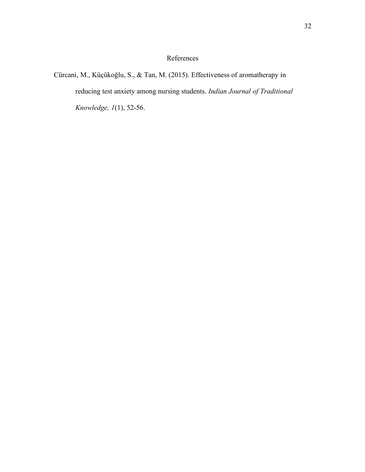## References

Cürcani, M., Küçükoğlu, S., & Tan, M. (2015). Effectiveness of aromatherapy in reducing test anxiety among nursing students. *Indian Journal of Traditional Knowledge, 1*(1), 52-56.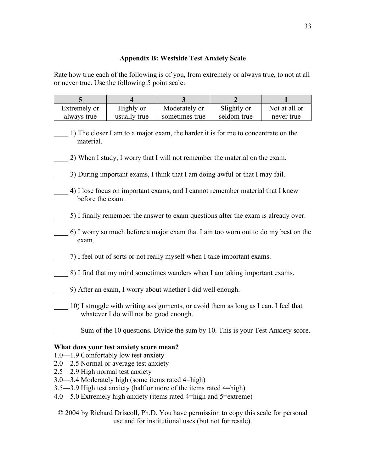#### **Appendix B: Westside Test Anxiety Scale**

Rate how true each of the following is of you, from extremely or always true, to not at all or never true. Use the following 5 point scale:

| Extremely or | Highly or    | Moderately or  | Slightly or | Not at all or |
|--------------|--------------|----------------|-------------|---------------|
| always true  | usually true | sometimes true | seldom true | never true    |

- \_\_\_\_ 1) The closer I am to a major exam, the harder it is for me to concentrate on the material.
- \_\_\_\_ 2) When I study, I worry that I will not remember the material on the exam.
- \_\_\_\_ 3) During important exams, I think that I am doing awful or that I may fail.
- \_\_\_\_ 4) I lose focus on important exams, and I cannot remember material that I knew before the exam.
- \_\_\_\_ 5) I finally remember the answer to exam questions after the exam is already over.
- \_\_\_\_ 6) I worry so much before a major exam that I am too worn out to do my best on the exam.
- \_\_\_\_ 7) I feel out of sorts or not really myself when I take important exams.
- \_\_\_\_ 8) I find that my mind sometimes wanders when I am taking important exams.
- \_\_\_\_ 9) After an exam, I worry about whether I did well enough.
- \_\_\_\_ 10) I struggle with writing assignments, or avoid them as long as I can. I feel that whatever I do will not be good enough.
	- Sum of the 10 questions. Divide the sum by 10. This is your Test Anxiety score.

#### **What does your test anxiety score mean?**

- 1.0—1.9 Comfortably low test anxiety
- 2.0—2.5 Normal or average test anxiety
- 2.5—2.9 High normal test anxiety
- 3.0—3.4 Moderately high (some items rated 4=high)
- 3.5—3.9 High test anxiety (half or more of the items rated 4=high)
- 4.0—5.0 Extremely high anxiety (items rated 4=high and 5=extreme)
- © 2004 by Richard Driscoll, Ph.D. You have permission to copy this scale for personal use and for institutional uses (but not for resale).